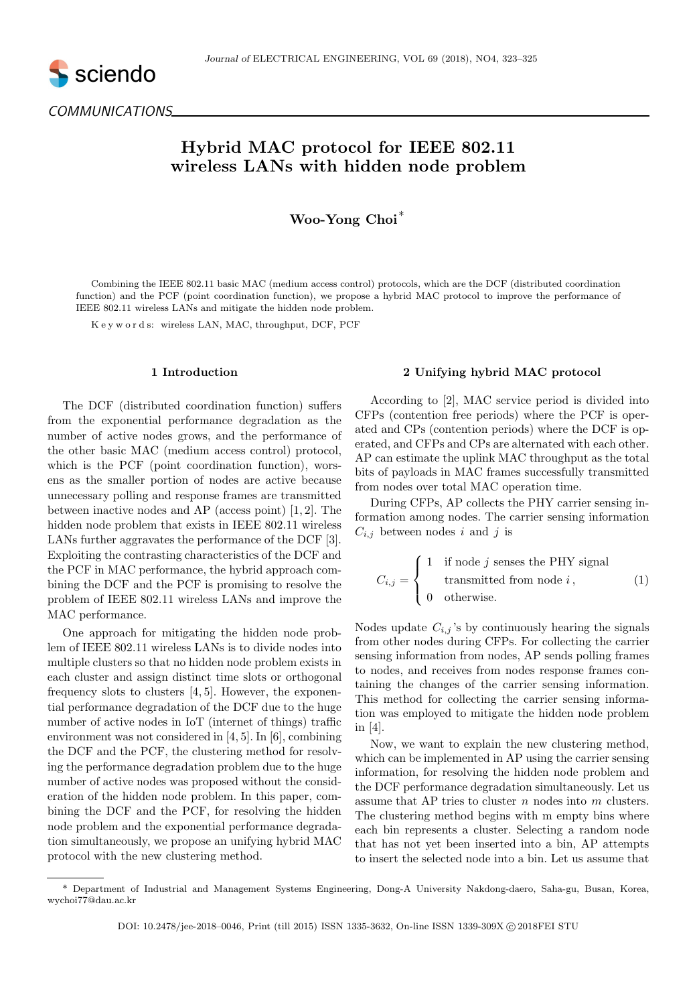

COMMUNICATIONS

# Hybrid MAC protocol for IEEE 802.11 wireless LANs with hidden node problem

Woo-Yong Choi<sup>∗</sup>

Combining the IEEE 802.11 basic MAC (medium access control) protocols, which are the DCF (distributed coordination function) and the PCF (point coordination function), we propose a hybrid MAC protocol to improve the performance of IEEE 802.11 wireless LANs and mitigate the hidden node problem.

K e y w o r d s: wireless LAN, MAC, throughput, DCF, PCF

## 1 Introduction

The DCF (distributed coordination function) suffers from the exponential performance degradation as the number of active nodes grows, and the performance of the other basic MAC (medium access control) protocol, which is the PCF (point coordination function), worsens as the smaller portion of nodes are active because unnecessary polling and response frames are transmitted between inactive nodes and AP (access point) [1, 2]. The hidden node problem that exists in IEEE 802.11 wireless LANs further aggravates the performance of the DCF [3]. Exploiting the contrasting characteristics of the DCF and the PCF in MAC performance, the hybrid approach combining the DCF and the PCF is promising to resolve the problem of IEEE 802.11 wireless LANs and improve the MAC performance.

One approach for mitigating the hidden node problem of IEEE 802.11 wireless LANs is to divide nodes into multiple clusters so that no hidden node problem exists in each cluster and assign distinct time slots or orthogonal frequency slots to clusters [4, 5]. However, the exponential performance degradation of the DCF due to the huge number of active nodes in IoT (internet of things) traffic environment was not considered in [4, 5]. In [6], combining the DCF and the PCF, the clustering method for resolving the performance degradation problem due to the huge number of active nodes was proposed without the consideration of the hidden node problem. In this paper, combining the DCF and the PCF, for resolving the hidden node problem and the exponential performance degradation simultaneously, we propose an unifying hybrid MAC protocol with the new clustering method.

#### 2 Unifying hybrid MAC protocol

According to [2], MAC service period is divided into CFPs (contention free periods) where the PCF is operated and CPs (contention periods) where the DCF is operated, and CFPs and CPs are alternated with each other. AP can estimate the uplink MAC throughput as the total bits of payloads in MAC frames successfully transmitted from nodes over total MAC operation time.

During CFPs, AP collects the PHY carrier sensing information among nodes. The carrier sensing information  $C_{i,j}$  between nodes i and j is

$$
C_{i,j} = \begin{cases} 1 & \text{if node } j \text{ senses the PHY signal} \\ & \text{transmitted from node } i \,, \\ 0 & \text{otherwise.} \end{cases} \tag{1}
$$

Nodes update  $C_{i,j}$ 's by continuously hearing the signals from other nodes during CFPs. For collecting the carrier sensing information from nodes, AP sends polling frames to nodes, and receives from nodes response frames containing the changes of the carrier sensing information. This method for collecting the carrier sensing information was employed to mitigate the hidden node problem in [4].

Now, we want to explain the new clustering method, which can be implemented in AP using the carrier sensing information, for resolving the hidden node problem and the DCF performance degradation simultaneously. Let us assume that AP tries to cluster  $n$  nodes into  $m$  clusters. The clustering method begins with m empty bins where each bin represents a cluster. Selecting a random node that has not yet been inserted into a bin, AP attempts to insert the selected node into a bin. Let us assume that

<sup>\*</sup> Department of Industrial and Management Systems Engineering, Dong-A University Nakdong-daero, Saha-gu, Busan, Korea, wychoi77@dau.ac.kr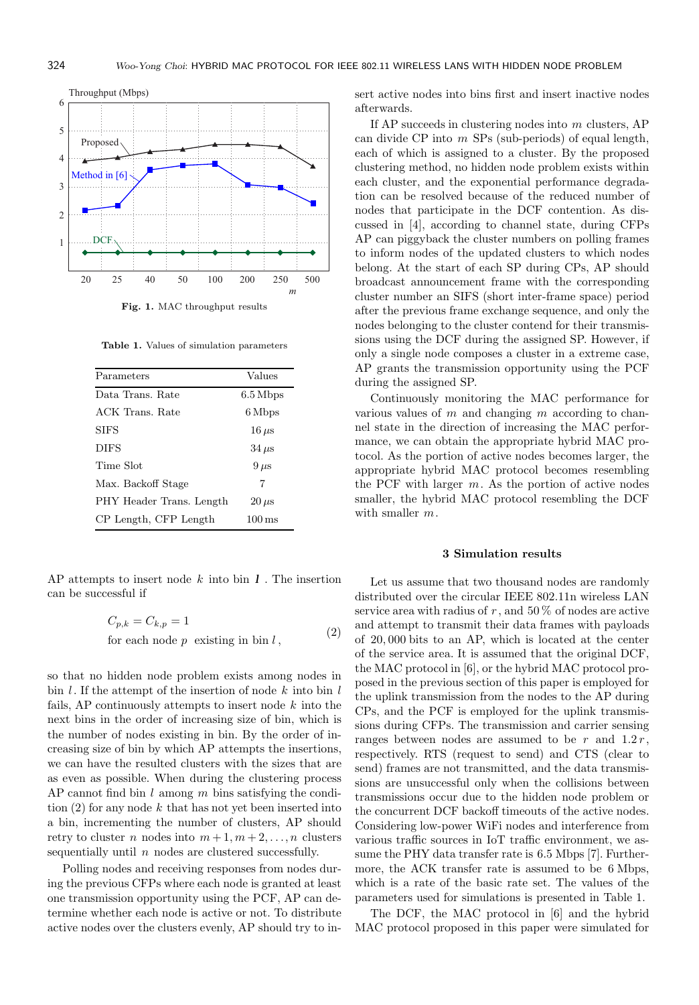

Table 1. Values of simulation parameters

| Parameters               | Values               |
|--------------------------|----------------------|
| Data Trans. Rate         | $6.5\,\mathrm{Mbps}$ |
| ACK Trans. Rate          | 6 Mbps               |
| <b>SIFS</b>              | $16 \,\mu s$         |
| <b>DIFS</b>              | $34 \,\mu s$         |
| Time Slot                | $9 \,\mu s$          |
| Max. Backoff Stage       | 7                    |
| PHY Header Trans. Length | $20 \,\mu s$         |
| CP Length, CFP Length    | $100 \,\mathrm{ms}$  |

AP attempts to insert node  $k$  into bin  $\boldsymbol{l}$ . The insertion can be successful if

$$
C_{p,k} = C_{k,p} = 1
$$
  
for each node p existing in bin l, (2)

so that no hidden node problem exists among nodes in bin  $l$ . If the attempt of the insertion of node  $k$  into bin  $l$ fails, AP continuously attempts to insert node  $k$  into the next bins in the order of increasing size of bin, which is the number of nodes existing in bin. By the order of increasing size of bin by which AP attempts the insertions, we can have the resulted clusters with the sizes that are as even as possible. When during the clustering process AP cannot find bin  $l$  among  $m$  bins satisfying the condition  $(2)$  for any node k that has not yet been inserted into a bin, incrementing the number of clusters, AP should retry to cluster n nodes into  $m+1, m+2, \ldots, n$  clusters sequentially until  $n$  nodes are clustered successfully.

Polling nodes and receiving responses from nodes during the previous CFPs where each node is granted at least one transmission opportunity using the PCF, AP can determine whether each node is active or not. To distribute active nodes over the clusters evenly, AP should try to insert active nodes into bins first and insert inactive nodes afterwards.

If AP succeeds in clustering nodes into  $m$  clusters, AP can divide  $\text{CP}$  into  $m$  SPs (sub-periods) of equal length, each of which is assigned to a cluster. By the proposed clustering method, no hidden node problem exists within each cluster, and the exponential performance degradation can be resolved because of the reduced number of nodes that participate in the DCF contention. As discussed in [4], according to channel state, during CFPs AP can piggyback the cluster numbers on polling frames to inform nodes of the updated clusters to which nodes belong. At the start of each SP during CPs, AP should broadcast announcement frame with the corresponding cluster number an SIFS (short inter-frame space) period after the previous frame exchange sequence, and only the nodes belonging to the cluster contend for their transmissions using the DCF during the assigned SP. However, if only a single node composes a cluster in a extreme case, AP grants the transmission opportunity using the PCF during the assigned SP.

Continuously monitoring the MAC performance for various values of  $m$  and changing  $m$  according to channel state in the direction of increasing the MAC performance, we can obtain the appropriate hybrid MAC protocol. As the portion of active nodes becomes larger, the appropriate hybrid MAC protocol becomes resembling the PCF with larger  $m$ . As the portion of active nodes smaller, the hybrid MAC protocol resembling the DCF with smaller  $m$ .

## 3 Simulation results

Let us assume that two thousand nodes are randomly distributed over the circular IEEE 802.11n wireless LAN service area with radius of r, and  $50\%$  of nodes are active and attempt to transmit their data frames with payloads of 20, 000 bits to an AP, which is located at the center of the service area. It is assumed that the original DCF, the MAC protocol in [6], or the hybrid MAC protocol proposed in the previous section of this paper is employed for the uplink transmission from the nodes to the AP during CPs, and the PCF is employed for the uplink transmissions during CFPs. The transmission and carrier sensing ranges between nodes are assumed to be r and  $1.2 r$ , respectively. RTS (request to send) and CTS (clear to send) frames are not transmitted, and the data transmissions are unsuccessful only when the collisions between transmissions occur due to the hidden node problem or the concurrent DCF backoff timeouts of the active nodes. Considering low-power WiFi nodes and interference from various traffic sources in IoT traffic environment, we assume the PHY data transfer rate is 6.5 Mbps [7]. Furthermore, the ACK transfer rate is assumed to be 6 Mbps, which is a rate of the basic rate set. The values of the parameters used for simulations is presented in Table 1.

The DCF, the MAC protocol in [6] and the hybrid MAC protocol proposed in this paper were simulated for